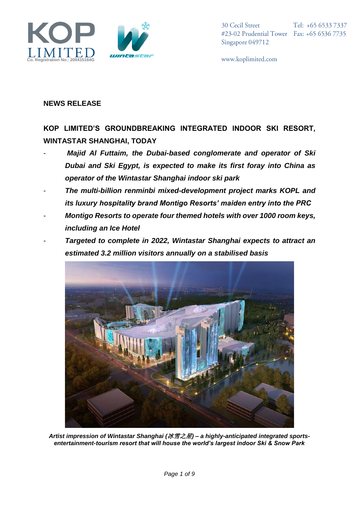



www.koplimited.com

## **NEWS RELEASE**

**KOP LIMITED'S GROUNDBREAKING INTEGRATED INDOOR SKI RESORT, WINTASTAR SHANGHAI, TODAY**

- *Majid Al Futtaim, the Dubai-based conglomerate and operator of Ski Dubai and Ski Egypt, is expected to make its first foray into China as operator of the Wintastar Shanghai indoor ski park*
- *The multi-billion renminbi mixed-development project marks KOPL and its luxury hospitality brand Montigo Resorts' maiden entry into the PRC*
- *Montigo Resorts to operate four themed hotels with over 1000 room keys, including an Ice Hotel*
- *Targeted to complete in 2022, Wintastar Shanghai expects to attract an estimated 3.2 million visitors annually on a stabilised basis*



*Artist impression of Wintastar Shanghai (*冰雪之星*) – a highly-anticipated integrated sportsentertainment-tourism resort that will house the world's largest indoor Ski & Snow Park*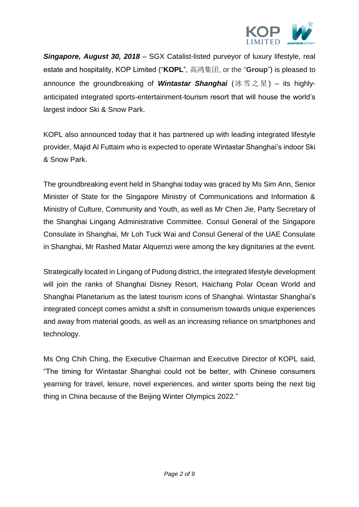

*Singapore, August 30, 2018* – SGX Catalist-listed purveyor of luxury lifestyle, real estate and hospitality, KOP Limited ("**KOPL**", 高鸿集团, or the "**Group**") is pleased to announce the groundbreaking of *Wintastar Shanghai* (冰雪之星) – its highlyanticipated integrated sports-entertainment-tourism resort that will house the world's largest indoor Ski & Snow Park.

KOPL also announced today that it has partnered up with leading integrated lifestyle provider, Majid Al Futtaim who is expected to operate Wintastar Shanghai's indoor Ski & Snow Park.

The groundbreaking event held in Shanghai today was graced by Ms Sim Ann, Senior Minister of State for the Singapore Ministry of Communications and Information & Ministry of Culture, Community and Youth, as well as Mr Chen Jie, Party Secretary of the Shanghai Lingang Administrative Committee. Consul General of the Singapore Consulate in Shanghai, Mr Loh Tuck Wai and Consul General of the UAE Consulate in Shanghai, Mr Rashed Matar Alquemzi were among the key dignitaries at the event.

Strategically located in Lingang of Pudong district, the integrated lifestyle development will join the ranks of Shanghai Disney Resort, Haichang Polar Ocean World and Shanghai Planetarium as the latest tourism icons of Shanghai. Wintastar Shanghai's integrated concept comes amidst a shift in consumerism towards unique experiences and away from material goods, as well as an increasing reliance on smartphones and technology.

Ms Ong Chih Ching, the Executive Chairman and Executive Director of KOPL said, "The timing for Wintastar Shanghai could not be better, with Chinese consumers yearning for travel, leisure, novel experiences, and winter sports being the next big thing in China because of the Beijing Winter Olympics 2022."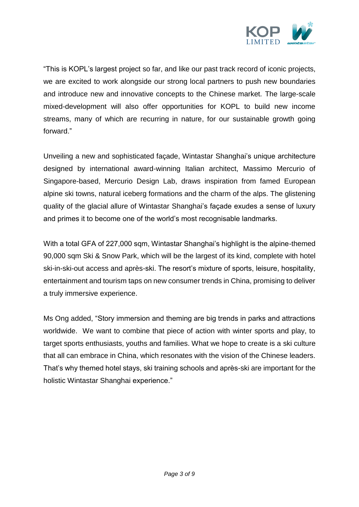

"This is KOPL's largest project so far, and like our past track record of iconic projects, we are excited to work alongside our strong local partners to push new boundaries and introduce new and innovative concepts to the Chinese market. The large-scale mixed-development will also offer opportunities for KOPL to build new income streams, many of which are recurring in nature, for our sustainable growth going forward."

Unveiling a new and sophisticated façade, Wintastar Shanghai's unique architecture designed by international award-winning Italian architect, Massimo Mercurio of Singapore-based, Mercurio Design Lab, draws inspiration from famed European alpine ski towns, natural iceberg formations and the charm of the alps. The glistening quality of the glacial allure of Wintastar Shanghai's façade exudes a sense of luxury and primes it to become one of the world's most recognisable landmarks.

With a total GFA of 227,000 sqm, Wintastar Shanghai's highlight is the alpine-themed 90,000 sqm Ski & Snow Park, which will be the largest of its kind, complete with hotel ski-in-ski-out access and après-ski. The resort's mixture of sports, leisure, hospitality, entertainment and tourism taps on new consumer trends in China, promising to deliver a truly immersive experience.

Ms Ong added, "Story immersion and theming are big trends in parks and attractions worldwide. We want to combine that piece of action with winter sports and play, to target sports enthusiasts, youths and families. What we hope to create is a ski culture that all can embrace in China, which resonates with the vision of the Chinese leaders. That's why themed hotel stays, ski training schools and après-ski are important for the holistic Wintastar Shanghai experience."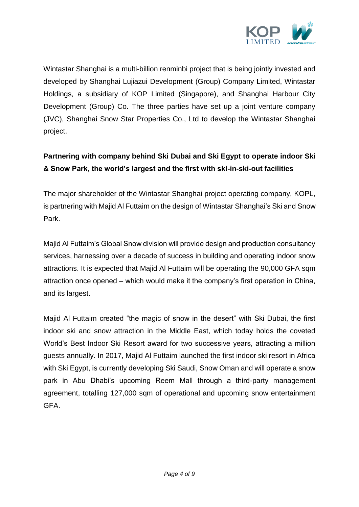

Wintastar Shanghai is a multi-billion renminbi project that is being jointly invested and developed by Shanghai Lujiazui Development (Group) Company Limited, Wintastar Holdings, a subsidiary of KOP Limited (Singapore), and Shanghai Harbour City Development (Group) Co. The three parties have set up a joint venture company (JVC), Shanghai Snow Star Properties Co., Ltd to develop the Wintastar Shanghai project.

## **Partnering with company behind Ski Dubai and Ski Egypt to operate indoor Ski & Snow Park, the world's largest and the first with ski-in-ski-out facilities**

The major shareholder of the Wintastar Shanghai project operating company, KOPL, is partnering with Majid Al Futtaim on the design of Wintastar Shanghai's Ski and Snow Park.

Majid Al Futtaim's Global Snow division will provide design and production consultancy services, harnessing over a decade of success in building and operating indoor snow attractions. It is expected that Majid Al Futtaim will be operating the 90,000 GFA sqm attraction once opened – which would make it the company's first operation in China, and its largest.

Majid Al Futtaim created "the magic of snow in the desert" with Ski Dubai, the first indoor ski and snow attraction in the Middle East, which today holds the coveted World's Best Indoor Ski Resort award for two successive years, attracting a million guests annually. In 2017, Majid Al Futtaim launched the first indoor ski resort in Africa with Ski Egypt, is currently developing Ski Saudi, Snow Oman and will operate a snow park in Abu Dhabi's upcoming Reem Mall through a third-party management agreement, totalling 127,000 sqm of operational and upcoming snow entertainment GFA.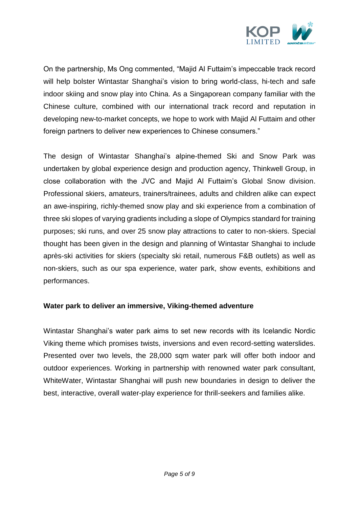

On the partnership, Ms Ong commented, "Majid Al Futtaim's impeccable track record will help bolster Wintastar Shanghai's vision to bring world-class, hi-tech and safe indoor skiing and snow play into China. As a Singaporean company familiar with the Chinese culture, combined with our international track record and reputation in developing new-to-market concepts, we hope to work with Majid Al Futtaim and other foreign partners to deliver new experiences to Chinese consumers."

The design of Wintastar Shanghai's alpine-themed Ski and Snow Park was undertaken by global experience design and production agency, Thinkwell Group, in close collaboration with the JVC and Majid Al Futtaim's Global Snow division. Professional skiers, amateurs, trainers/trainees, adults and children alike can expect an awe-inspiring, richly-themed snow play and ski experience from a combination of three ski slopes of varying gradients including a slope of Olympics standard for training purposes; ski runs, and over 25 snow play attractions to cater to non-skiers. Special thought has been given in the design and planning of Wintastar Shanghai to include après-ski activities for skiers (specialty ski retail, numerous F&B outlets) as well as non-skiers, such as our spa experience, water park, show events, exhibitions and performances.

### **Water park to deliver an immersive, Viking-themed adventure**

Wintastar Shanghai's water park aims to set new records with its Icelandic Nordic Viking theme which promises twists, inversions and even record-setting waterslides. Presented over two levels, the 28,000 sqm water park will offer both indoor and outdoor experiences. Working in partnership with renowned water park consultant, WhiteWater, Wintastar Shanghai will push new boundaries in design to deliver the best, interactive, overall water-play experience for thrill-seekers and families alike.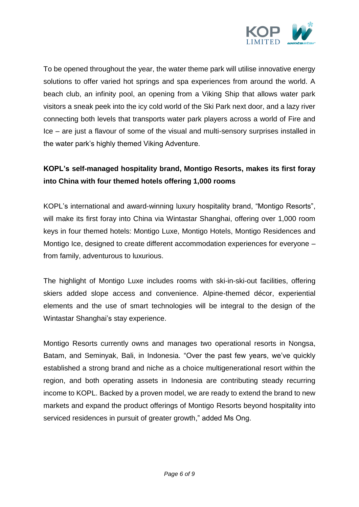

To be opened throughout the year, the water theme park will utilise innovative energy solutions to offer varied hot springs and spa experiences from around the world. A beach club, an infinity pool, an opening from a Viking Ship that allows water park visitors a sneak peek into the icy cold world of the Ski Park next door, and a lazy river connecting both levels that transports water park players across a world of Fire and Ice – are just a flavour of some of the visual and multi-sensory surprises installed in the water park's highly themed Viking Adventure.

# **KOPL's self-managed hospitality brand, Montigo Resorts, makes its first foray into China with four themed hotels offering 1,000 rooms**

KOPL's international and award-winning luxury hospitality brand, "Montigo Resorts", will make its first foray into China via Wintastar Shanghai, offering over 1,000 room keys in four themed hotels: Montigo Luxe, Montigo Hotels, Montigo Residences and Montigo Ice, designed to create different accommodation experiences for everyone – from family, adventurous to luxurious.

The highlight of Montigo Luxe includes rooms with ski-in-ski-out facilities, offering skiers added slope access and convenience. Alpine-themed décor, experiential elements and the use of smart technologies will be integral to the design of the Wintastar Shanghai's stay experience.

Montigo Resorts currently owns and manages two operational resorts in Nongsa, Batam, and Seminyak, Bali, in Indonesia. "Over the past few years, we've quickly established a strong brand and niche as a choice multigenerational resort within the region, and both operating assets in Indonesia are contributing steady recurring income to KOPL. Backed by a proven model, we are ready to extend the brand to new markets and expand the product offerings of Montigo Resorts beyond hospitality into serviced residences in pursuit of greater growth," added Ms Ong.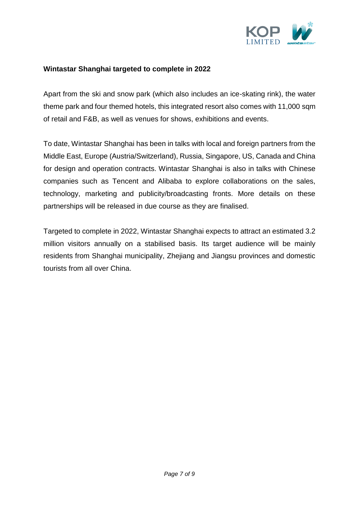

#### **Wintastar Shanghai targeted to complete in 2022**

Apart from the ski and snow park (which also includes an ice-skating rink), the water theme park and four themed hotels, this integrated resort also comes with 11,000 sqm of retail and F&B, as well as venues for shows, exhibitions and events.

To date, Wintastar Shanghai has been in talks with local and foreign partners from the Middle East, Europe (Austria/Switzerland), Russia, Singapore, US, Canada and China for design and operation contracts. Wintastar Shanghai is also in talks with Chinese companies such as Tencent and Alibaba to explore collaborations on the sales, technology, marketing and publicity/broadcasting fronts. More details on these partnerships will be released in due course as they are finalised.

Targeted to complete in 2022, Wintastar Shanghai expects to attract an estimated 3.2 million visitors annually on a stabilised basis. Its target audience will be mainly residents from Shanghai municipality, Zhejiang and Jiangsu provinces and domestic tourists from all over China.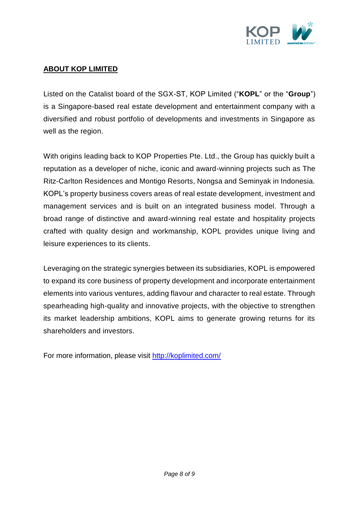

### **ABOUT KOP LIMITED**

Listed on the Catalist board of the SGX-ST, KOP Limited ("**KOPL**" or the "**Group**") is a Singapore-based real estate development and entertainment company with a diversified and robust portfolio of developments and investments in Singapore as well as the region.

With origins leading back to KOP Properties Pte. Ltd., the Group has quickly built a reputation as a developer of niche, iconic and award-winning projects such as The Ritz-Carlton Residences and Montigo Resorts, Nongsa and Seminyak in Indonesia. KOPL's property business covers areas of real estate development, investment and management services and is built on an integrated business model. Through a broad range of distinctive and award-winning real estate and hospitality projects crafted with quality design and workmanship, KOPL provides unique living and leisure experiences to its clients.

Leveraging on the strategic synergies between its subsidiaries, KOPL is empowered to expand its core business of property development and incorporate entertainment elements into various ventures, adding flavour and character to real estate. Through spearheading high-quality and innovative projects, with the objective to strengthen its market leadership ambitions, KOPL aims to generate growing returns for its shareholders and investors.

For more information, please visit<http://koplimited.com/>